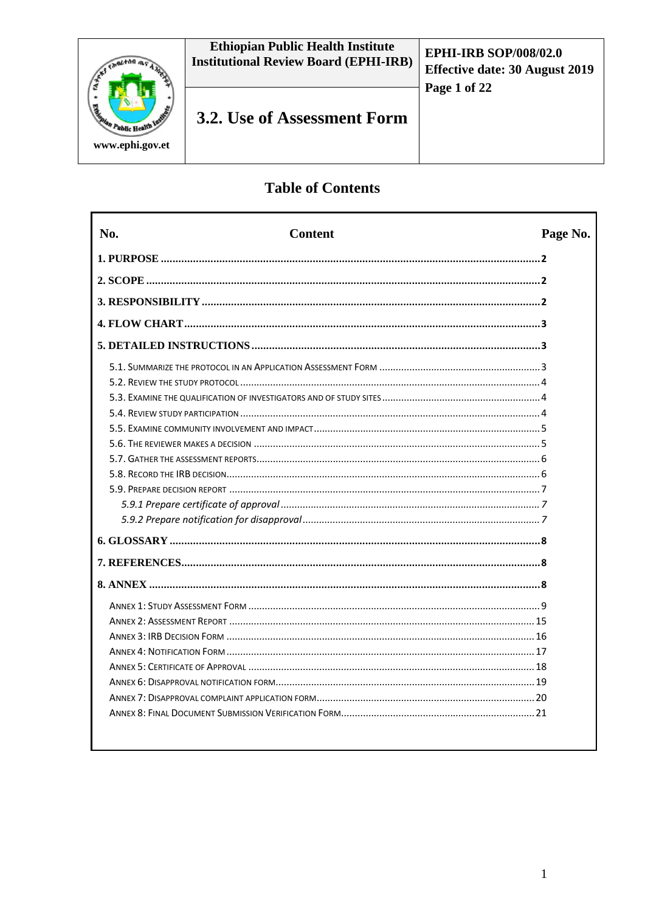

# **Table of Contents**

Г

| No.<br>Page No.<br><b>Content</b> |  |
|-----------------------------------|--|
|                                   |  |
|                                   |  |
|                                   |  |
|                                   |  |
|                                   |  |
|                                   |  |
|                                   |  |
|                                   |  |
|                                   |  |
|                                   |  |
|                                   |  |
|                                   |  |
|                                   |  |
|                                   |  |
|                                   |  |
|                                   |  |
|                                   |  |
|                                   |  |
|                                   |  |
|                                   |  |
|                                   |  |
|                                   |  |
|                                   |  |
|                                   |  |
|                                   |  |
|                                   |  |
|                                   |  |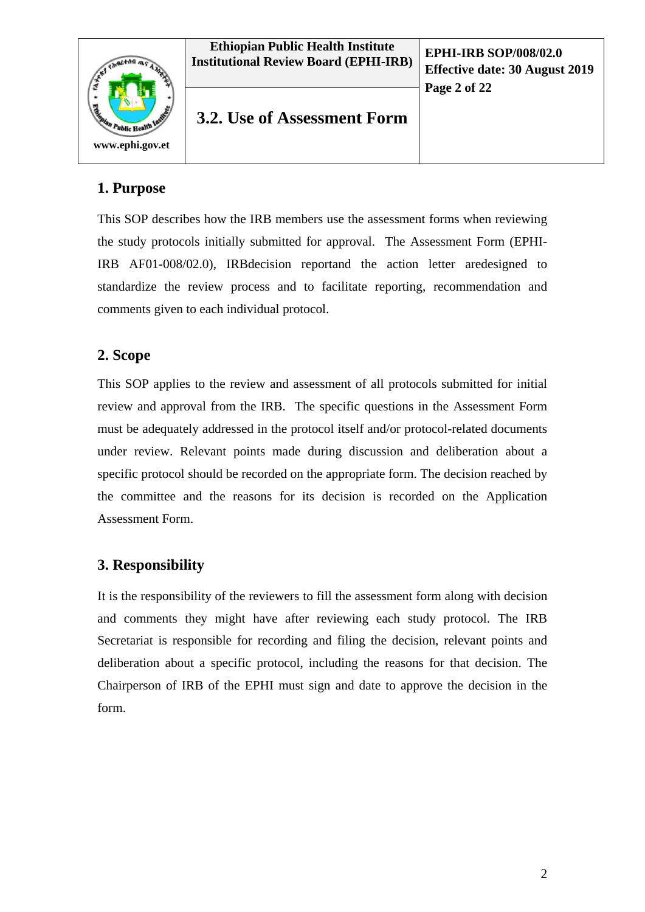



**Effective date: 30 August 2019 Page 2 of 22**

**3.2. Use of Assessment Form**

# **1. Purpose**

This SOP describes how the IRB members use the assessment forms when reviewing the study protocols initially submitted for approval. The Assessment Form (EPHI-IRB AF01-008/02.0), IRBdecision reportand the action letter aredesigned to standardize the review process and to facilitate reporting, recommendation and comments given to each individual protocol.

## **2. Scope**

This SOP applies to the review and assessment of all protocols submitted for initial review and approval from the IRB. The specific questions in the Assessment Form must be adequately addressed in the protocol itself and/or protocol-related documents under review. Relevant points made during discussion and deliberation about a specific protocol should be recorded on the appropriate form. The decision reached by the committee and the reasons for its decision is recorded on the Application Assessment Form.

# **3. Responsibility**

It is the responsibility of the reviewers to fill the assessment form along with decision and comments they might have after reviewing each study protocol. The IRB Secretariat is responsible for recording and filing the decision, relevant points and deliberation about a specific protocol, including the reasons for that decision. The Chairperson of IRB of the EPHI must sign and date to approve the decision in the form.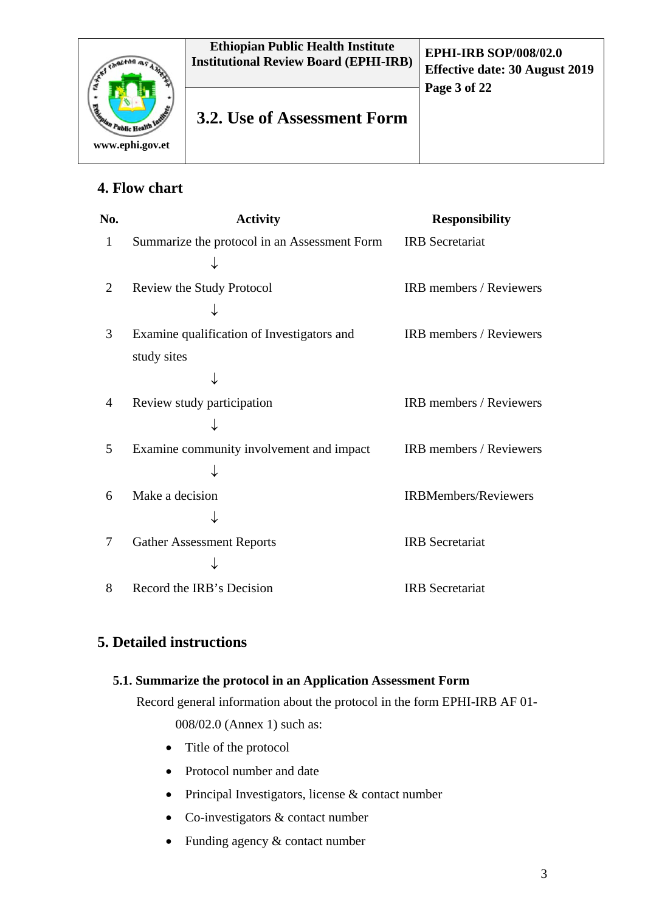

# **4. Flow chart**

| No.            | <b>Activity</b>                              | <b>Responsibility</b>          |
|----------------|----------------------------------------------|--------------------------------|
| $\mathbf{1}$   | Summarize the protocol in an Assessment Form | <b>IRB</b> Secretariat         |
|                |                                              |                                |
| $\overline{2}$ | Review the Study Protocol                    | IRB members / Reviewers        |
|                |                                              |                                |
| 3              | Examine qualification of Investigators and   | <b>IRB</b> members / Reviewers |
|                | study sites                                  |                                |
|                |                                              |                                |
| 4              | Review study participation                   | IRB members / Reviewers        |
|                |                                              |                                |
| 5              | Examine community involvement and impact     | IRB members / Reviewers        |
|                |                                              |                                |
| 6              | Make a decision                              | <b>IRBMembers/Reviewers</b>    |
|                |                                              |                                |
| 7              | <b>Gather Assessment Reports</b>             | <b>IRB</b> Secretariat         |
|                |                                              |                                |
| 8              | Record the IRB's Decision                    | <b>IRB</b> Secretariat         |

# **5. Detailed instructions**

## **5.1. Summarize the protocol in an Application Assessment Form**

Record general information about the protocol in the form EPHI-IRB AF 01-

008/02.0 (Annex 1) such as:

- Title of the protocol
- Protocol number and date
- Principal Investigators, license & contact number
- Co-investigators & contact number
- Funding agency & contact number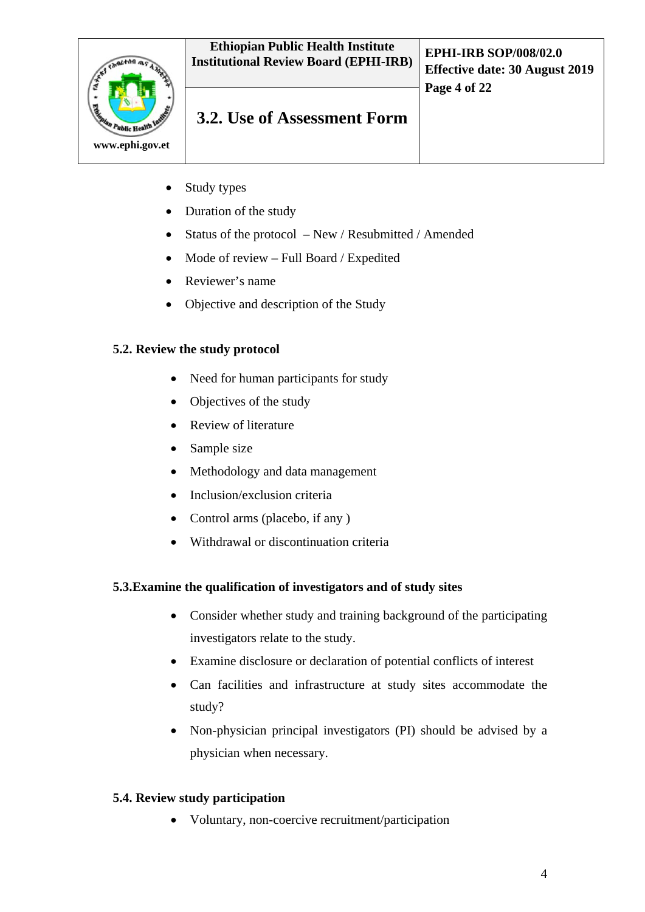

- Study types
- Duration of the study
- Status of the protocol New / Resubmitted / Amended
- Mode of review Full Board / Expedited
- Reviewer's name
- Objective and description of the Study

## **5.2. Review the study protocol**

- Need for human participants for study
- Objectives of the study
- Review of literature
- Sample size
- Methodology and data management
- Inclusion/exclusion criteria
- Control arms (placebo, if any )
- Withdrawal or discontinuation criteria

## **5.3.Examine the qualification of investigators and of study sites**

- Consider whether study and training background of the participating investigators relate to the study.
- Examine disclosure or declaration of potential conflicts of interest
- Can facilities and infrastructure at study sites accommodate the study?
- Non-physician principal investigators (PI) should be advised by a physician when necessary.

## **5.4. Review study participation**

• Voluntary, non-coercive recruitment/participation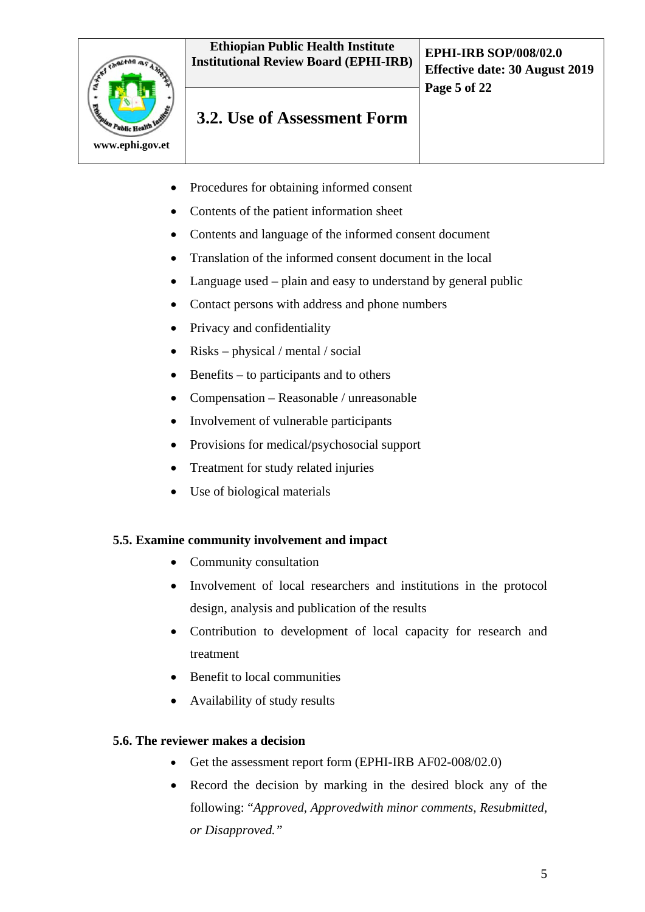

- Procedures for obtaining informed consent
- Contents of the patient information sheet
- Contents and language of the informed consent document
- Translation of the informed consent document in the local
- Language used plain and easy to understand by general public
- Contact persons with address and phone numbers
- Privacy and confidentiality
- Risks physical / mental / social
- Benefits to participants and to others
- Compensation Reasonable / unreasonable
- Involvement of vulnerable participants
- Provisions for medical/psychosocial support
- Treatment for study related injuries
- Use of biological materials

### **5.5. Examine community involvement and impact**

- Community consultation
- Involvement of local researchers and institutions in the protocol design, analysis and publication of the results
- Contribution to development of local capacity for research and treatment
- Benefit to local communities
- Availability of study results

### **5.6. The reviewer makes a decision**

- Get the assessment report form (EPHI-IRB AF02-008/02.0)
- Record the decision by marking in the desired block any of the following: "*Approved, Approvedwith minor comments, Resubmitted, or Disapproved."*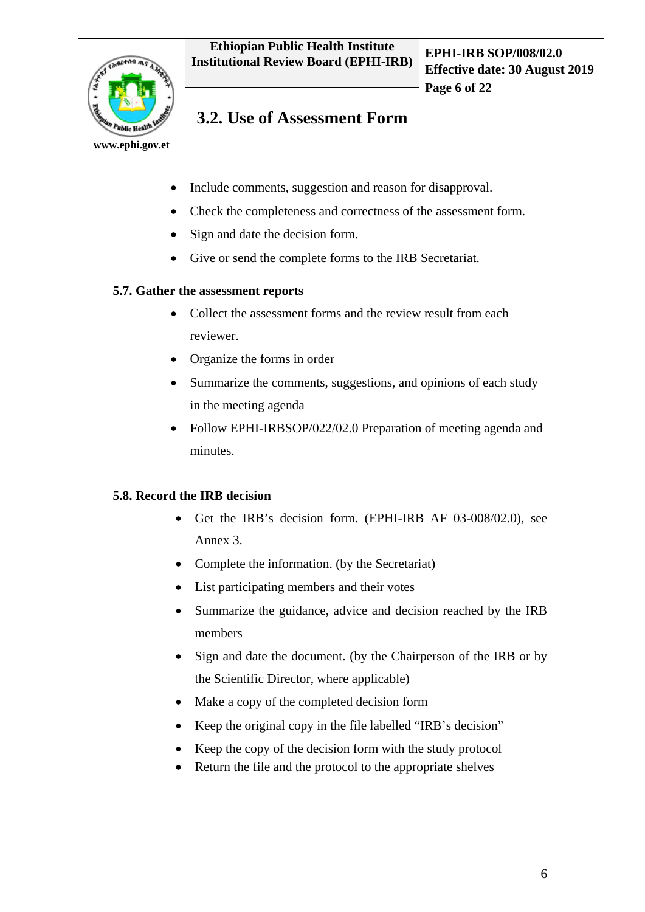

- Include comments, suggestion and reason for disapproval.
- Check the completeness and correctness of the assessment form.
- Sign and date the decision form.
- Give or send the complete forms to the IRB Secretariat.

### **5.7. Gather the assessment reports**

- Collect the assessment forms and the review result from each reviewer.
- Organize the forms in order
- Summarize the comments, suggestions, and opinions of each study in the meeting agenda
- Follow EPHI-IRBSOP/022/02.0 Preparation of meeting agenda and minutes.

### **5.8. Record the IRB decision**

- Get the IRB's decision form. (EPHI-IRB AF 03-008/02.0), see Annex 3.
- Complete the information. (by the Secretariat)
- List participating members and their votes
- Summarize the guidance, advice and decision reached by the IRB members
- Sign and date the document. (by the Chairperson of the IRB or by the Scientific Director, where applicable)
- Make a copy of the completed decision form
- Keep the original copy in the file labelled "IRB's decision"
- Keep the copy of the decision form with the study protocol
- Return the file and the protocol to the appropriate shelves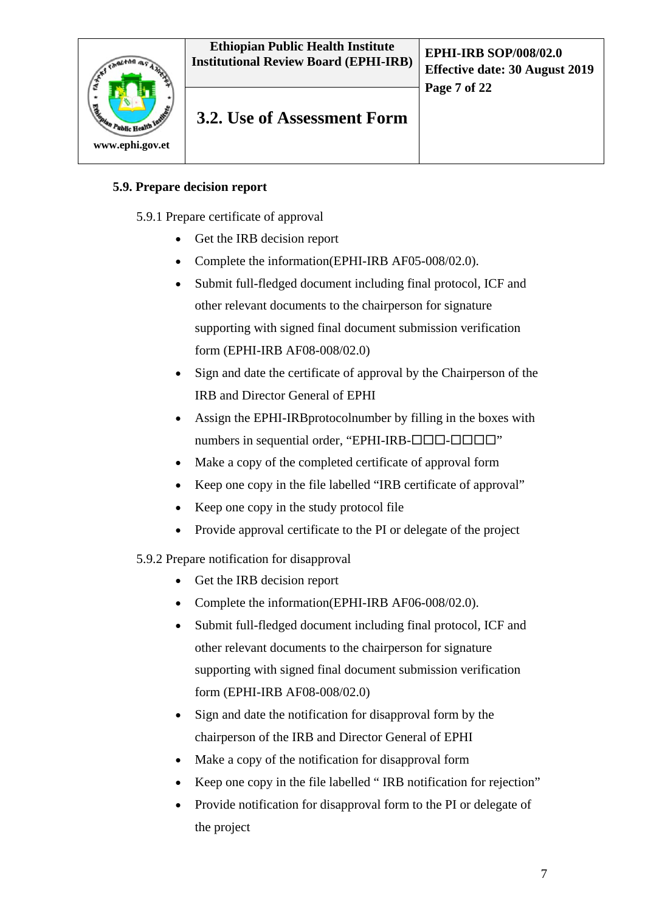#### **Ethiopian Public Health Institute Institutional Review Board (EPHI-IRB) EPHI-IRB SOP/008/02.0**



# **3.2. Use of Assessment Form**

## **5.9. Prepare decision report**

5.9.1 Prepare certificate of approval

- Get the IRB decision report
- Complete the information(EPHI-IRB AF05-008/02.0).
- Submit full-fledged document including final protocol, ICF and other relevant documents to the chairperson for signature supporting with signed final document submission verification form (EPHI-IRB AF08-008/02.0)
- Sign and date the certificate of approval by the Chairperson of the IRB and Director General of EPHI
- Assign the EPHI-IRBprotocolnumber by filling in the boxes with numbers in sequential order, "EPHI-IRB- $\Box$  $\Box$  $\Box$  $\Box$  $\Box$  $\Box$ "
- Make a copy of the completed certificate of approval form
- Keep one copy in the file labelled "IRB certificate of approval"
- Keep one copy in the study protocol file
- Provide approval certificate to the PI or delegate of the project

### 5.9.2 Prepare notification for disapproval

- Get the IRB decision report
- Complete the information(EPHI-IRB AF06-008/02.0).
- Submit full-fledged document including final protocol, ICF and other relevant documents to the chairperson for signature supporting with signed final document submission verification form (EPHI-IRB AF08-008/02.0)
- Sign and date the notification for disapproval form by the chairperson of the IRB and Director General of EPHI
- Make a copy of the notification for disapproval form
- Keep one copy in the file labelled " IRB notification for rejection"
- Provide notification for disapproval form to the PI or delegate of the project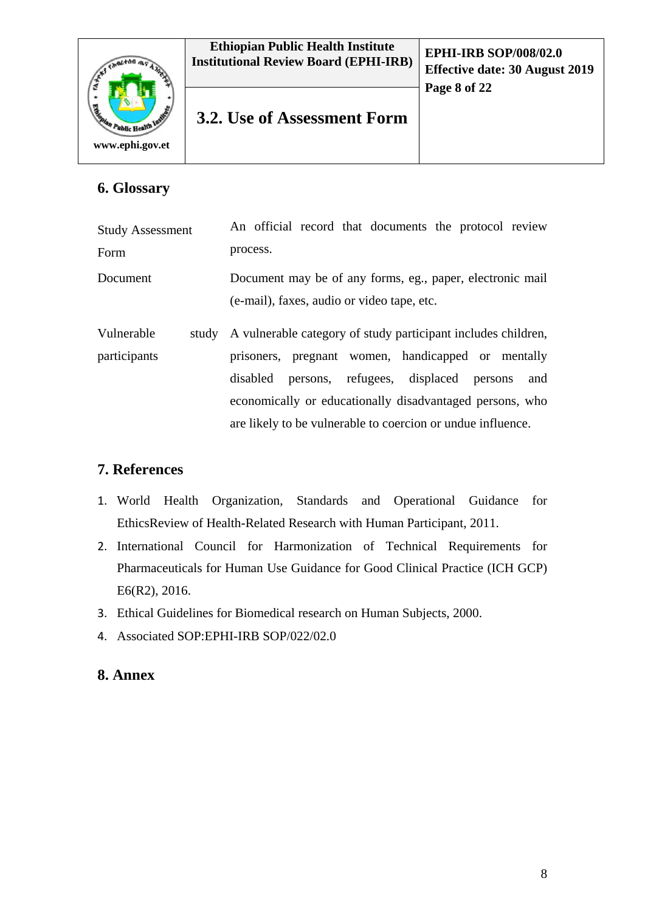

# **6. Glossary**

| <b>Study Assessment</b>    | An official record that documents the protocol review                                                                                                                                                                                                                                                        |  |  |  |
|----------------------------|--------------------------------------------------------------------------------------------------------------------------------------------------------------------------------------------------------------------------------------------------------------------------------------------------------------|--|--|--|
| Form                       | process.                                                                                                                                                                                                                                                                                                     |  |  |  |
| Document                   | Document may be of any forms, eg., paper, electronic mail<br>(e-mail), faxes, audio or video tape, etc.                                                                                                                                                                                                      |  |  |  |
| Vulnerable<br>participants | study A vulnerable category of study participant includes children,<br>prisoners, pregnant women, handicapped or mentally<br>disabled persons, refugees, displaced persons<br>and<br>economically or educationally disadvantaged persons, who<br>are likely to be vulnerable to coercion or undue influence. |  |  |  |

# **7. References**

- 1. World Health Organization, Standards and Operational Guidance for EthicsReview of Health-Related Research with Human Participant, 2011.
- 2. International Council for Harmonization of Technical Requirements for Pharmaceuticals for Human Use Guidance for Good Clinical Practice (ICH GCP) E6(R2), 2016.
- 3. Ethical Guidelines for Biomedical research on Human Subjects, 2000.
- 4. Associated SOP:EPHI-IRB SOP/022/02.0

# **8. Annex**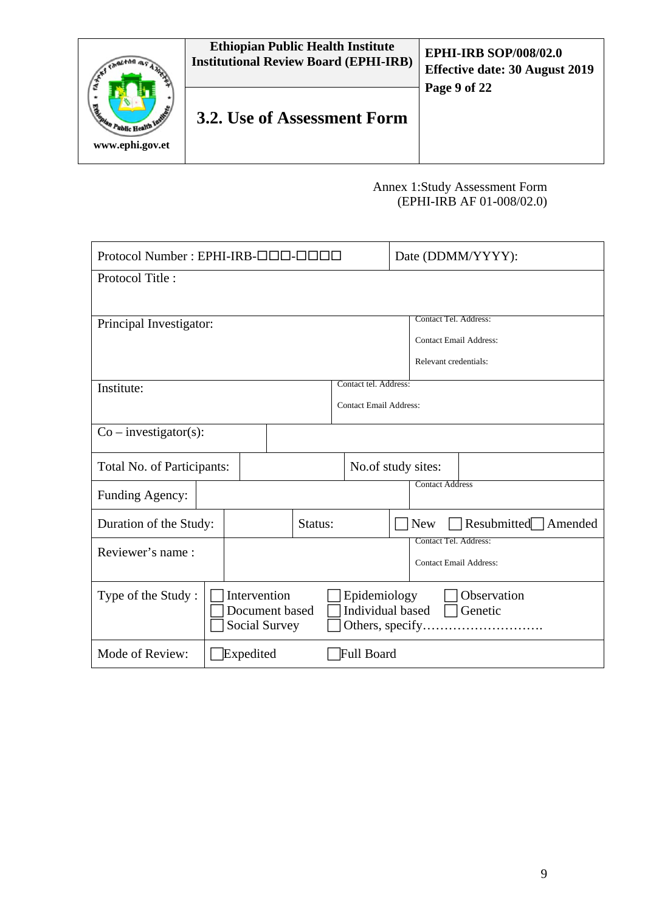

## Annex 1:Study Assessment Form (EPHI-IRB AF 01-008/02.0)

| Protocol Number: EPHI-IRB-000-000 |  |                                                 |                    |         | Date (DDMM/YYYY): |                                                      |                                   |
|-----------------------------------|--|-------------------------------------------------|--------------------|---------|-------------------|------------------------------------------------------|-----------------------------------|
| Protocol Title:                   |  |                                                 |                    |         |                   |                                                      |                                   |
|                                   |  |                                                 |                    |         |                   |                                                      |                                   |
| Principal Investigator:           |  |                                                 |                    |         |                   |                                                      | Contact Tel. Address:             |
|                                   |  |                                                 |                    |         |                   |                                                      | <b>Contact Email Address:</b>     |
|                                   |  |                                                 |                    |         |                   |                                                      | Relevant credentials:             |
| Institute:                        |  |                                                 |                    |         |                   | Contact tel. Address:                                |                                   |
|                                   |  |                                                 |                    |         |                   | <b>Contact Email Address:</b>                        |                                   |
| $Co$ – investigator(s):           |  |                                                 |                    |         |                   |                                                      |                                   |
| Total No. of Participants:        |  |                                                 | No.of study sites: |         |                   |                                                      |                                   |
| Funding Agency:                   |  |                                                 |                    |         |                   |                                                      | <b>Contact Address</b>            |
| Duration of the Study:            |  |                                                 |                    | Status: |                   |                                                      | Resubmitted Amended<br><b>New</b> |
| Reviewer's name:                  |  |                                                 |                    |         |                   |                                                      | Contact Tel. Address:             |
|                                   |  |                                                 |                    |         |                   |                                                      | <b>Contact Email Address:</b>     |
| Type of the Study:                |  | Intervention<br>Document based<br>Social Survey |                    |         |                   | Epidemiology<br>Individual based<br>Others, specify. | Observation<br>Genetic            |
| Mode of Review:                   |  | Expedited                                       |                    |         |                   | Full Board                                           |                                   |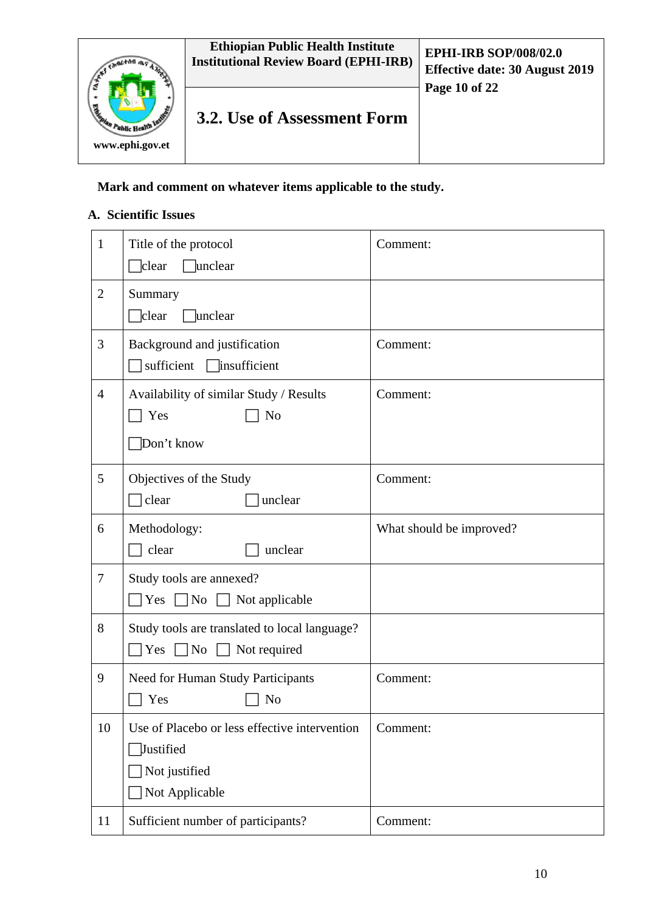

## **Mark and comment on whatever items applicable to the study.**

### **A. Scientific Issues**

| $\mathbf{1}$   | Title of the protocol<br>$\Box$ clear<br>unclear                                                     | Comment:                 |
|----------------|------------------------------------------------------------------------------------------------------|--------------------------|
| $\overline{2}$ | Summary<br>$\Box$ clear<br>unclear                                                                   |                          |
| 3              | Background and justification<br>sufficient<br>insufficient                                           | Comment:                 |
| $\overline{4}$ | Availability of similar Study / Results<br>Yes<br>No<br>Don't know                                   | Comment:                 |
| 5              | Objectives of the Study<br>clear<br>unclear                                                          | Comment:                 |
| 6              | Methodology:<br>clear<br>unclear                                                                     | What should be improved? |
| $\tau$         | Study tools are annexed?<br>Yes $\n $ No<br>Not applicable                                           |                          |
| 8              | Study tools are translated to local language?<br>Yes<br>N <sub>o</sub><br>Not required               |                          |
| 9              | Need for Human Study Participants<br>Yes<br>No                                                       | Comment:                 |
| 10             | Use of Placebo or less effective intervention<br><b>Justified</b><br>Not justified<br>Not Applicable | Comment:                 |
| 11             | Sufficient number of participants?                                                                   | Comment:                 |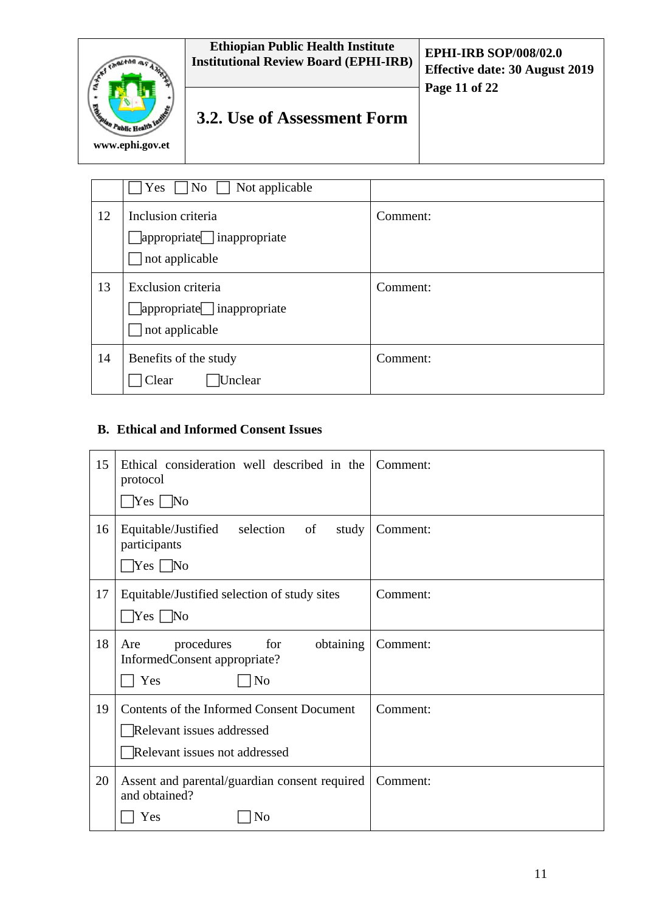|                                                        | <b>Ethiopian Public Health Institute</b><br><b>Institutional Review Board (EPHI-IRB)</b> | <b>EPHI-IRB SOP/008/02.0</b><br><b>Effective date: 30 August 2019</b><br>Page 11 of 22 |
|--------------------------------------------------------|------------------------------------------------------------------------------------------|----------------------------------------------------------------------------------------|
| <b>Casebala</b><br>Public Health In<br>www.ephi.gov.et | <b>3.2.</b> Use of Assessment Form                                                       |                                                                                        |

|    | Yes<br>No<br>Not applicable                                                     |          |
|----|---------------------------------------------------------------------------------|----------|
| 12 | Inclusion criteria<br>$\Box$ appropriate $\Box$ inappropriate<br>not applicable | Comment: |
| 13 | Exclusion criteria<br>$\Box$ appropriate $\Box$ inappropriate<br>not applicable | Comment: |
| 14 | Benefits of the study<br>Unclear<br>Clear                                       | Comment: |

## **B. Ethical and Informed Consent Issues**

| 15 | Ethical consideration well described in the<br>protocol<br>$\bigcap$ Yes $\bigcap$ No                   | Comment: |
|----|---------------------------------------------------------------------------------------------------------|----------|
| 16 | selection<br>Equitable/Justified<br>of<br>study<br>participants<br>$\Box$ Yes $\Box$ No                 | Comment: |
| 17 | Equitable/Justified selection of study sites<br>$\Box$ Yes $\Box$ No                                    | Comment: |
| 18 | procedures<br>for<br>obtaining<br>Are<br>InformedConsent appropriate?<br>Yes<br>N <sub>0</sub>          | Comment: |
| 19 | Contents of the Informed Consent Document<br>Relevant issues addressed<br>Relevant issues not addressed | Comment: |
| 20 | Assent and parental/guardian consent required<br>and obtained?<br>Yes<br>No                             | Comment: |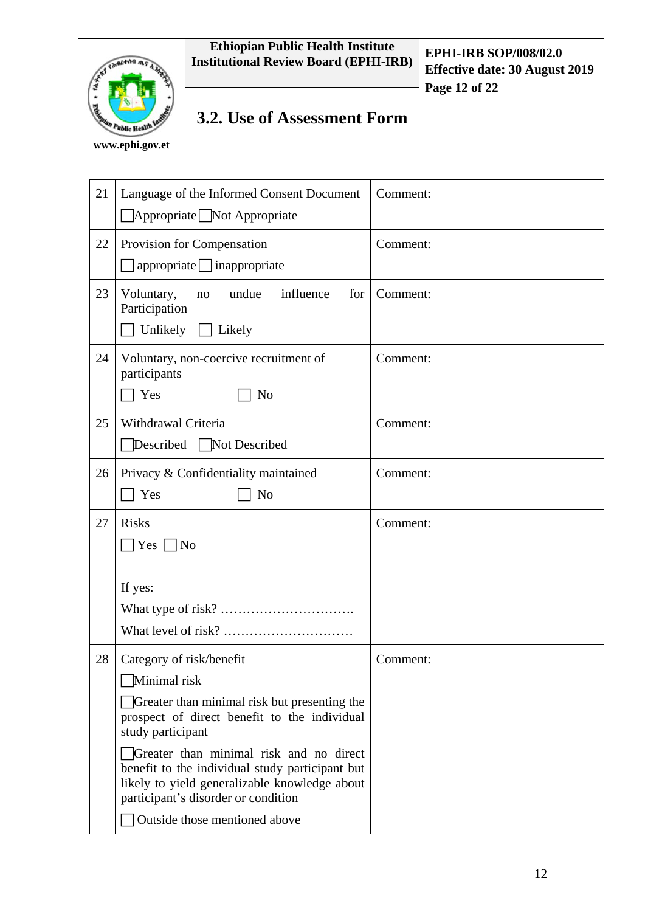# **Ethiopian Public Health Institute Institutional Review Board (EPHI-IRB) EPHI-IRB SOP/008/02.0**  $\sqrt{1 + \ln n}$ **Effective date: 30 August 2019 Page 12 of 22 3.2. Use of Assessment Form** blic Health **www.ephi.gov.et**

| 21 | Language of the Informed Consent Document<br>$\Box$ Appropriate $\Box$ Not Appropriate                                                                                                                                                                                                                                                              | Comment: |
|----|-----------------------------------------------------------------------------------------------------------------------------------------------------------------------------------------------------------------------------------------------------------------------------------------------------------------------------------------------------|----------|
| 22 | Provision for Compensation<br>$appropriate$ inappropriate                                                                                                                                                                                                                                                                                           | Comment: |
| 23 | undue<br>influence<br>Voluntary,<br>for<br>no<br>Participation<br>Unlikely<br>Likely                                                                                                                                                                                                                                                                | Comment: |
| 24 | Voluntary, non-coercive recruitment of<br>participants<br>Yes<br>N <sub>o</sub>                                                                                                                                                                                                                                                                     | Comment: |
| 25 | Withdrawal Criteria<br>Described Not Described                                                                                                                                                                                                                                                                                                      | Comment: |
| 26 | Privacy & Confidentiality maintained<br>Yes<br>N <sub>o</sub>                                                                                                                                                                                                                                                                                       | Comment: |
| 27 | <b>Risks</b><br>$ Yes \cap No$                                                                                                                                                                                                                                                                                                                      | Comment: |
|    | If yes:                                                                                                                                                                                                                                                                                                                                             |          |
| 28 | Category of risk/benefit<br>Minimal risk<br>Greater than minimal risk but presenting the<br>prospect of direct benefit to the individual<br>study participant<br>Greater than minimal risk and no direct<br>benefit to the individual study participant but<br>likely to yield generalizable knowledge about<br>participant's disorder or condition | Comment: |
|    | Outside those mentioned above                                                                                                                                                                                                                                                                                                                       |          |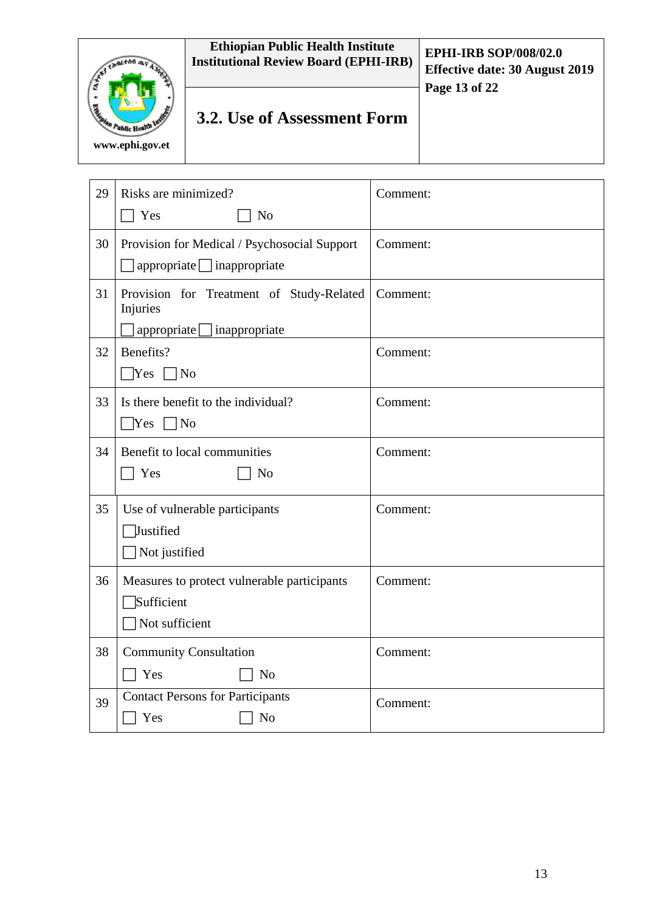# **Ethiopian Public Health Institute Institutional Review Board (EPHI-IRB) EPHI-IRB SOP/008/02.0** EMPLTON ME A **Effective date: 30 August 2019 Page 13 of 22 3.2. Use of Assessment Form** blic Health **www.ephi.gov.et**

| 29 | Risks are minimized?                                 | Comment: |
|----|------------------------------------------------------|----------|
|    | Yes<br>N <sub>o</sub>                                |          |
| 30 | Provision for Medical / Psychosocial Support         | Comment: |
|    | $appropriate$ inappropriate                          |          |
| 31 | Provision for Treatment of Study-Related<br>Injuries | Comment: |
|    | appropriate [<br>inappropriate                       |          |
| 32 | Benefits?                                            | Comment: |
|    | <b>Yes</b><br>N <sub>o</sub>                         |          |
| 33 | Is there benefit to the individual?                  | Comment: |
|    | $\Box$ Yes $\Box$ No                                 |          |
| 34 | Benefit to local communities                         | Comment: |
|    | Yes<br>N <sub>o</sub>                                |          |
| 35 | Use of vulnerable participants                       | Comment: |
|    | Justified                                            |          |
|    | Not justified                                        |          |
| 36 | Measures to protect vulnerable participants          | Comment: |
|    | Sufficient                                           |          |
|    | Not sufficient                                       |          |
| 38 | <b>Community Consultation</b>                        | Comment: |
|    | Yes<br>N <sub>o</sub>                                |          |
| 39 | <b>Contact Persons for Participants</b>              | Comment: |
|    | Yes<br>N <sub>o</sub>                                |          |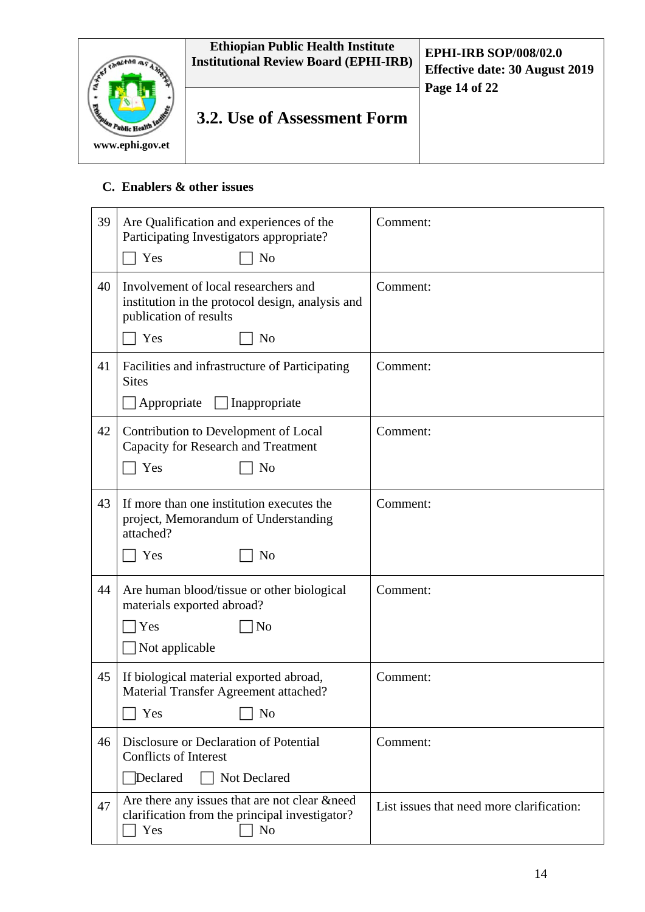

# **C. Enablers & other issues**

| 39 | Are Qualification and experiences of the<br>Participating Investigators appropriate?<br>Yes<br>N <sub>o</sub>                               | Comment:                                  |
|----|---------------------------------------------------------------------------------------------------------------------------------------------|-------------------------------------------|
| 40 | Involvement of local researchers and<br>institution in the protocol design, analysis and<br>publication of results<br>Yes<br>N <sub>o</sub> | Comment:                                  |
| 41 | Facilities and infrastructure of Participating<br><b>Sites</b><br>Appropriate<br>Inappropriate                                              | Comment:                                  |
| 42 | Contribution to Development of Local<br><b>Capacity for Research and Treatment</b><br>Yes<br>N <sub>o</sub>                                 | Comment:                                  |
| 43 | If more than one institution executes the<br>project, Memorandum of Understanding<br>attached?<br>Yes<br>N <sub>o</sub>                     | Comment:                                  |
| 44 | Are human blood/tissue or other biological<br>materials exported abroad?<br>Yes<br> No<br>Not applicable                                    | Comment:                                  |
| 45 | If biological material exported abroad,<br>Material Transfer Agreement attached?<br>Yes<br>N <sub>0</sub>                                   | Comment:                                  |
| 46 | Disclosure or Declaration of Potential<br><b>Conflicts of Interest</b><br>Declared<br>Not Declared                                          | Comment:                                  |
| 47 | Are there any issues that are not clear & need<br>clarification from the principal investigator?<br>Yes<br>N <sub>0</sub>                   | List issues that need more clarification: |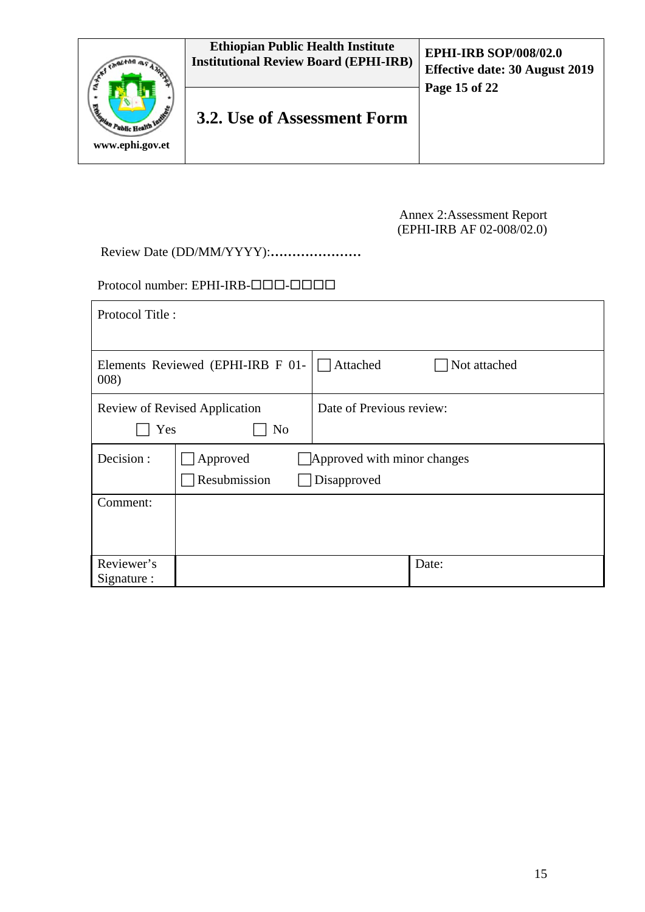|                                                       | <b>Ethiopian Public Health Institute</b><br><b>Institutional Review Board (EPHI-IRB)</b> | <b>EPHI-IRB SOP/008/02.0</b><br><b>Effective date: 30 August 2019</b><br>Page 15 of 22 |
|-------------------------------------------------------|------------------------------------------------------------------------------------------|----------------------------------------------------------------------------------------|
| <b>READER</b><br>"Public Health In<br>www.ephi.gov.et | 3.2. Use of Assessment Form                                                              |                                                                                        |

#### Annex 2:Assessment Report (EPHI-IRB AF 02-008/02.0)

Review Date (DD/MM/YYYY):**…………………**

Protocol number: EPHI-IRB-000-000

| Protocol Title:           |                                            |                                            |              |
|---------------------------|--------------------------------------------|--------------------------------------------|--------------|
| 008)                      | Elements Reviewed (EPHI-IRB F 01-          | Attached                                   | Not attached |
| Yes                       | <b>Review of Revised Application</b><br>No | Date of Previous review:                   |              |
| Decision:                 | Approved<br>Resubmission                   | Approved with minor changes<br>Disapproved |              |
| Comment:                  |                                            |                                            |              |
| Reviewer's<br>Signature : |                                            |                                            | Date:        |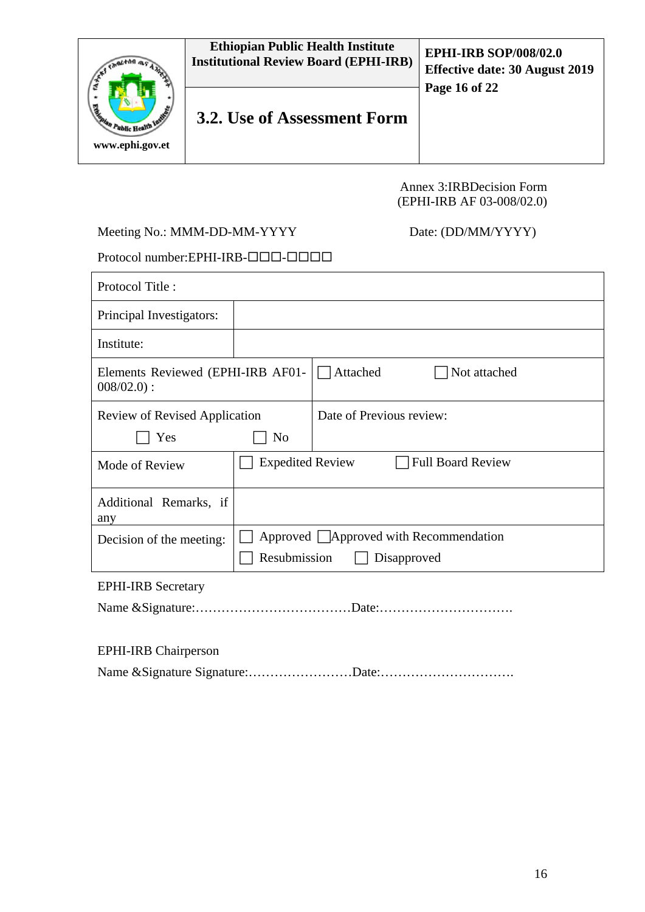

### Annex 3:IRBDecision Form (EPHI-IRB AF 03-008/02.0)

### Meeting No.: MMM-DD-MM-YYYY Date: (DD/MM/YYYY)

Protocol number: EPHI-IRB-000-000-000

| Protocol Title:                                   |                         |                                         |
|---------------------------------------------------|-------------------------|-----------------------------------------|
| Principal Investigators:                          |                         |                                         |
| Institute:                                        |                         |                                         |
| Elements Reviewed (EPHI-IRB AF01-<br>$008/02.0$ : |                         | Not attached<br>Attached                |
| <b>Review of Revised Application</b>              |                         | Date of Previous review:                |
| Yes                                               | No                      |                                         |
| Mode of Review                                    | <b>Expedited Review</b> | <b>Full Board Review</b>                |
| Additional Remarks, if<br>any                     |                         |                                         |
| Decision of the meeting:                          |                         | Approved   Approved with Recommendation |
|                                                   | Resubmission            | Disapproved                             |
| <b>EPHI-IRB Secretary</b>                         |                         |                                         |
|                                                   |                         |                                         |

| <b>EPHI-IRB</b> Chairperson |  |
|-----------------------------|--|
|                             |  |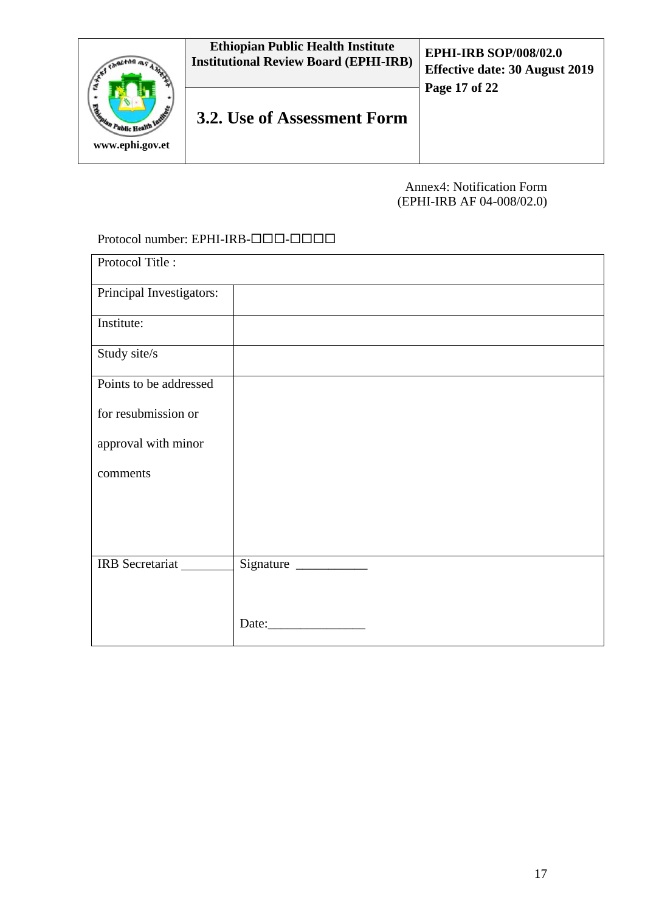

### Annex4: Notification Form (EPHI-IRB AF 04-008/02.0)

#### Protocol number: EPHI-IRB-000-000

| Signature |
|-----------|
|           |
|           |
|           |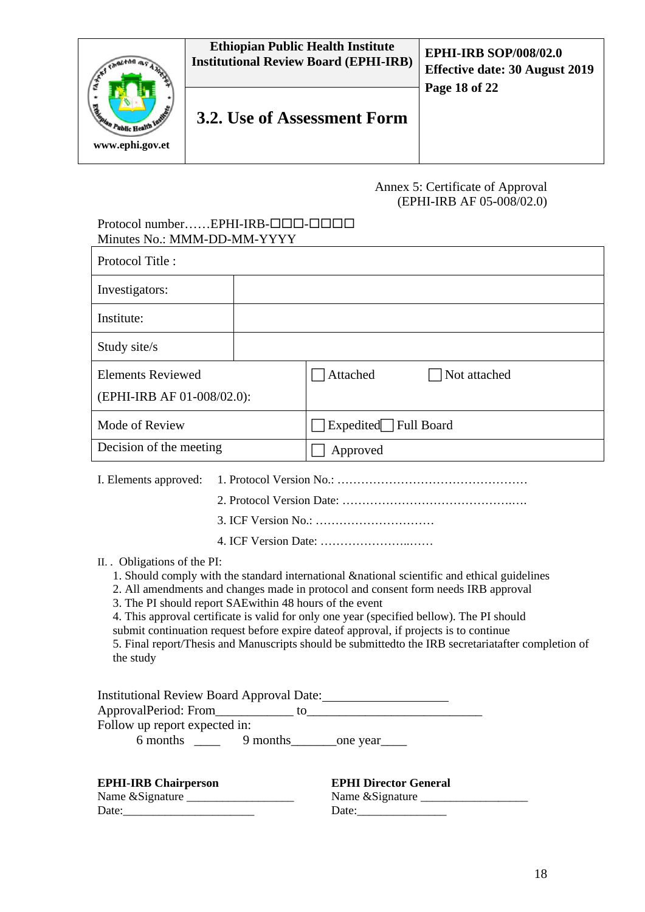

#### Annex 5: Certificate of Approval (EPHI-IRB AF 05-008/02.0)

### $Protocol number.....EPHI-IRB- $\square$$ Minutes No.: MMM-DD-MM-YYYY

| Protocol Title:                                        |                          |
|--------------------------------------------------------|--------------------------|
| Investigators:                                         |                          |
| Institute:                                             |                          |
| Study site/s                                           |                          |
| <b>Elements Reviewed</b><br>(EPHI-IRB AF 01-008/02.0): | Not attached<br>Attached |
| Mode of Review                                         | Expedited Full Board     |
| Decision of the meeting                                | Approved                 |

I. Elements approved: 1. Protocol Version No.: …………………………………………

2. Protocol Version Date: …………………………………….….

3. ICF Version No.: …………………………

4. ICF Version Date: …………………..……

II. . Obligations of the PI:

- 1. Should comply with the standard international &national scientific and ethical guidelines
- 2. All amendments and changes made in protocol and consent form needs IRB approval
- 3. The PI should report SAEwithin 48 hours of the event
- 4. This approval certificate is valid for only one year (specified bellow). The PI should

submit continuation request before expire dateof approval, if projects is to continue 5. Final report/Thesis and Manuscripts should be submittedto the IRB secretariatafter completion of the study

| <b>Institutional Review Board Approval Date:</b> |          |           |  |
|--------------------------------------------------|----------|-----------|--|
| ApprovalPeriod: From                             | īΩ       |           |  |
| Follow up report expected in:                    |          |           |  |
| 6 months                                         | 9 months | _one year |  |
|                                                  |          |           |  |

| <b>EPHI-IRB Chairperson</b> | <b>EPHI Director General</b> |
|-----------------------------|------------------------------|
| Name & Signature            | Name & Signature             |
| Date:                       | Date:                        |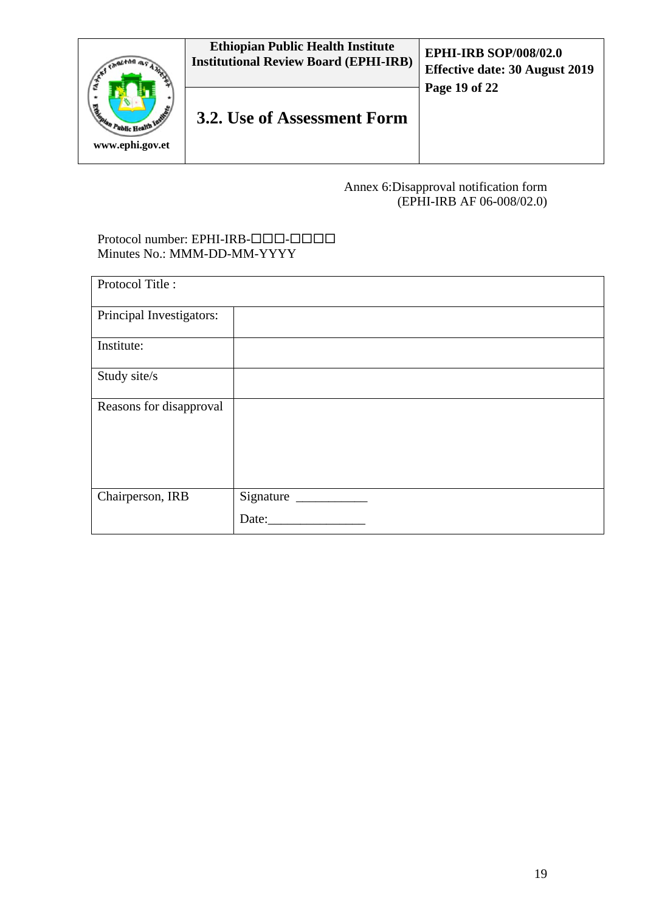

## Annex 6:Disapproval notification form (EPHI-IRB AF 06-008/02.0)

#### Protocol number: EPHI-IRB-000-000 Minutes No.: MMM-DD-MM-YYYY

| Protocol Title:          |           |
|--------------------------|-----------|
| Principal Investigators: |           |
| Institute:               |           |
| Study site/s             |           |
| Reasons for disapproval  |           |
| Chairperson, IRB         | Signature |
|                          | Date:     |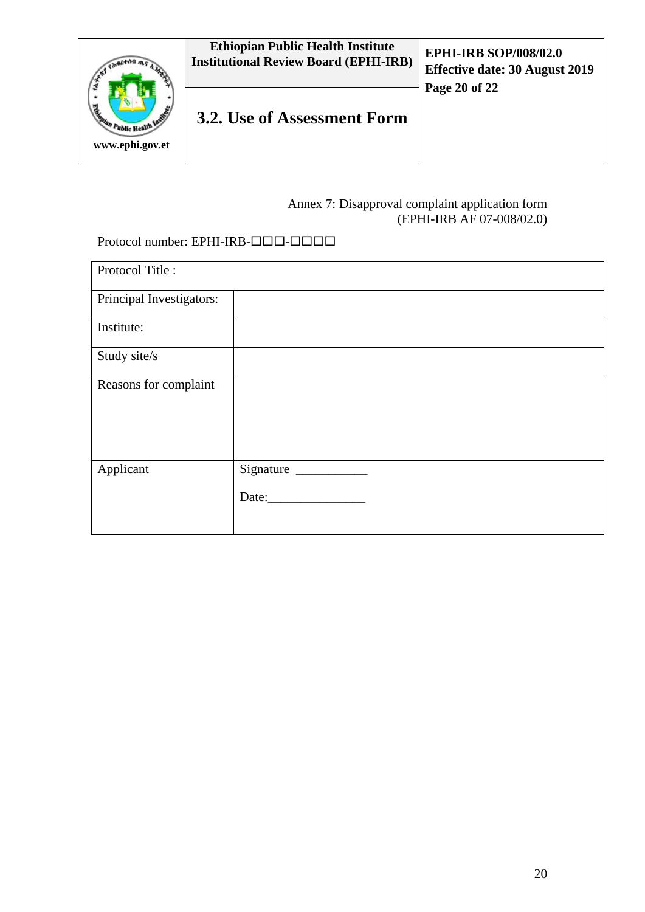

## Annex 7: Disapproval complaint application form (EPHI-IRB AF 07-008/02.0)

## Protocol number: EPHI-IRB-000-000

| Protocol Title:          |           |
|--------------------------|-----------|
| Principal Investigators: |           |
| Institute:               |           |
| Study site/s             |           |
| Reasons for complaint    |           |
| Applicant                | Signature |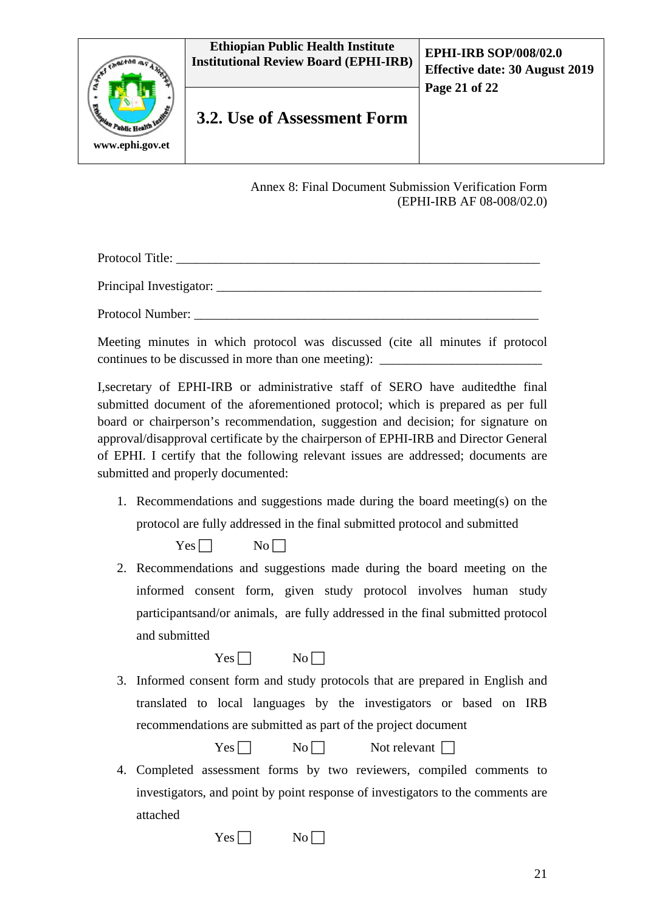#### **Ethiopian Public Health Institute Institutional Review Board (EPHI-IRB) EPHI-IRB SOP/008/02.0**



# **3.2. Use of Assessment Form**

Annex 8: Final Document Submission Verification Form (EPHI-IRB AF 08-008/02.0)

Protocol Title: Principal Investigator: Protocol Number:

Meeting minutes in which protocol was discussed (cite all minutes if protocol continues to be discussed in more than one meeting):

I,secretary of EPHI-IRB or administrative staff of SERO have auditedthe final submitted document of the aforementioned protocol; which is prepared as per full board or chairperson's recommendation, suggestion and decision; for signature on approval/disapproval certificate by the chairperson of EPHI-IRB and Director General of EPHI. I certify that the following relevant issues are addressed; documents are submitted and properly documented:

1. Recommendations and suggestions made during the board meeting(s) on the protocol are fully addressed in the final submitted protocol and submitted

 $Yes \Box$  No  $\Box$ 

2. Recommendations and suggestions made during the board meeting on the informed consent form, given study protocol involves human study participantsand/or animals, are fully addressed in the final submitted protocol and submitted

 $Yes \Box$  No  $\Box$ 

3. Informed consent form and study protocols that are prepared in English and translated to local languages by the investigators or based on IRB recommendations are submitted as part of the project document

 $Yes \Box \qquad No \Box$  Not relevant  $\Box$ 

4. Completed assessment forms by two reviewers, compiled comments to investigators, and point by point response of investigators to the comments are attached

 $Yes \Box$  No  $\Box$